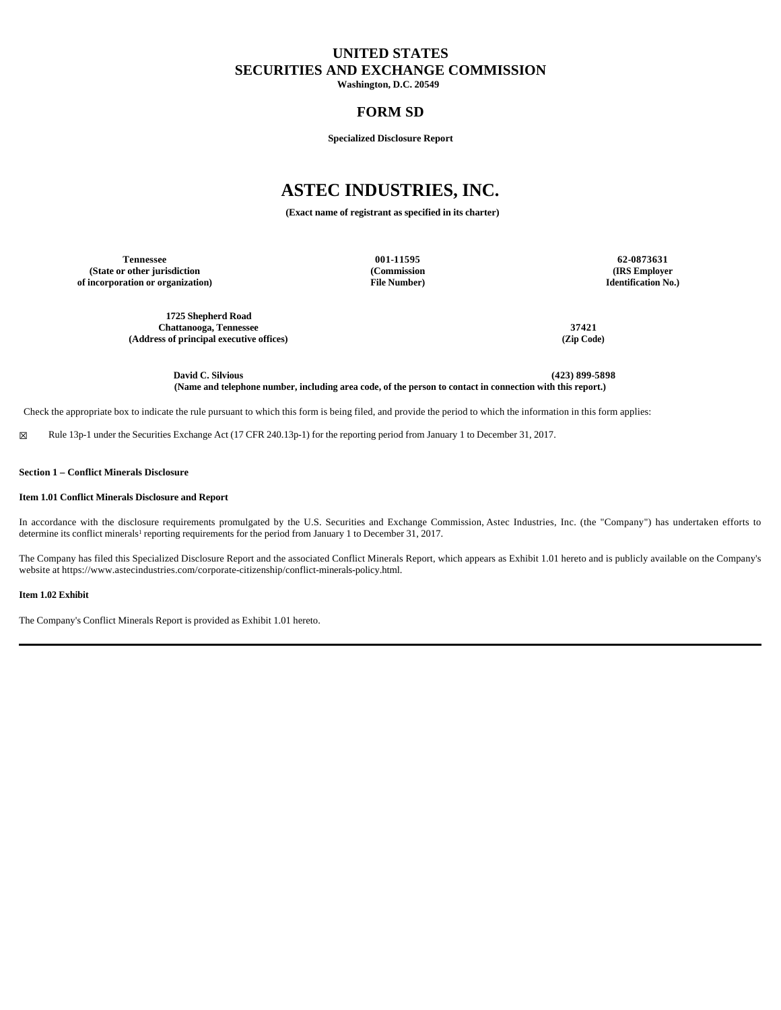# **UNITED STATES SECURITIES AND EXCHANGE COMMISSION**

**Washington, D.C. 20549** 

# **FORM SD**

**Specialized Disclosure Report**

# **ASTEC INDUSTRIES, INC.**

**(Exact name of registrant as specified in its charter)**

**Tennessee 001-11595 62-0873631 (State or other jurisdiction of incorporation or organization)**

**(Commission File Number)**

**(IRS Employer Identification No.)**

**1725 Shepherd Road Chattanooga, Tennessee 37421 (Address of principal executive offices) (Zip Code)**

**David C. Silvious (423) 899-5898 (Name and telephone number, including area code, of the person to contact in connection with this report.)**

Check the appropriate box to indicate the rule pursuant to which this form is being filed, and provide the period to which the information in this form applies:

☒ Rule 13p-1 under the Securities Exchange Act (17 CFR 240.13p-1) for the reporting period from January 1 to December 31, 2017.

**Section 1 – Conflict Minerals Disclosure**

#### **Item 1.01 Conflict Minerals Disclosure and Report**

In accordance with the disclosure requirements promulgated by the U.S. Securities and Exchange Commission, Astec Industries, Inc. (the "Company") has undertaken efforts to determine its conflict minerals<sup>1</sup> reporting requirements for the period from January 1 to December 31, 2017.

The Company has filed this Specialized Disclosure Report and the associated Conflict Minerals Report, which appears as Exhibit 1.01 hereto and is publicly available on the Company's website at https://www.astecindustries.com/corporate-citizenship/conflict-minerals-policy.html.

**Item 1.02 Exhibit**

The Company's Conflict Minerals Report is provided as Exhibit 1.01 hereto.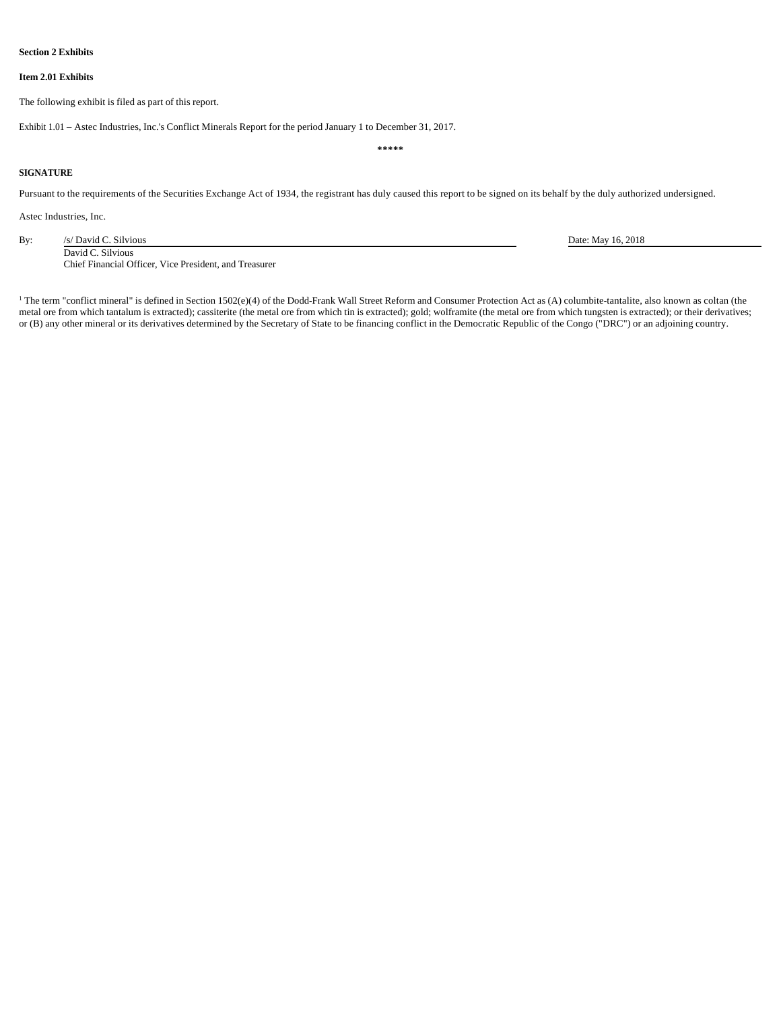# **Section 2 Exhibits**

#### **Item 2.01 Exhibits**

The following exhibit is filed as part of this report.

Exhibit 1.01 – Astec Industries, Inc.'s Conflict Minerals Report for the period January 1 to December 31, 2017.

### **SIGNATURE**

Pursuant to the requirements of the Securities Exchange Act of 1934, the registrant has duly caused this report to be signed on its behalf by the duly authorized undersigned.

**\*\*\*\*\***

Astec Industries, Inc.

By: /s/ David C. Silvious Date: May 16, 2018 David C. Silvious Chief Financial Officer, Vice President, and Treasurer

<sup>1</sup> The term "conflict mineral" is defined in Section 1502(e)(4) of the Dodd-Frank Wall Street Reform and Consumer Protection Act as (A) columbite-tantalite, also known as coltan (the metal ore from which tantalum is extracted); cassiterite (the metal ore from which tin is extracted); gold; wolframite (the metal ore from which tungsten is extracted); or their derivatives; or (B) any other mineral or its derivatives determined by the Secretary of State to be financing conflict in the Democratic Republic of the Congo ("DRC") or an adjoining country.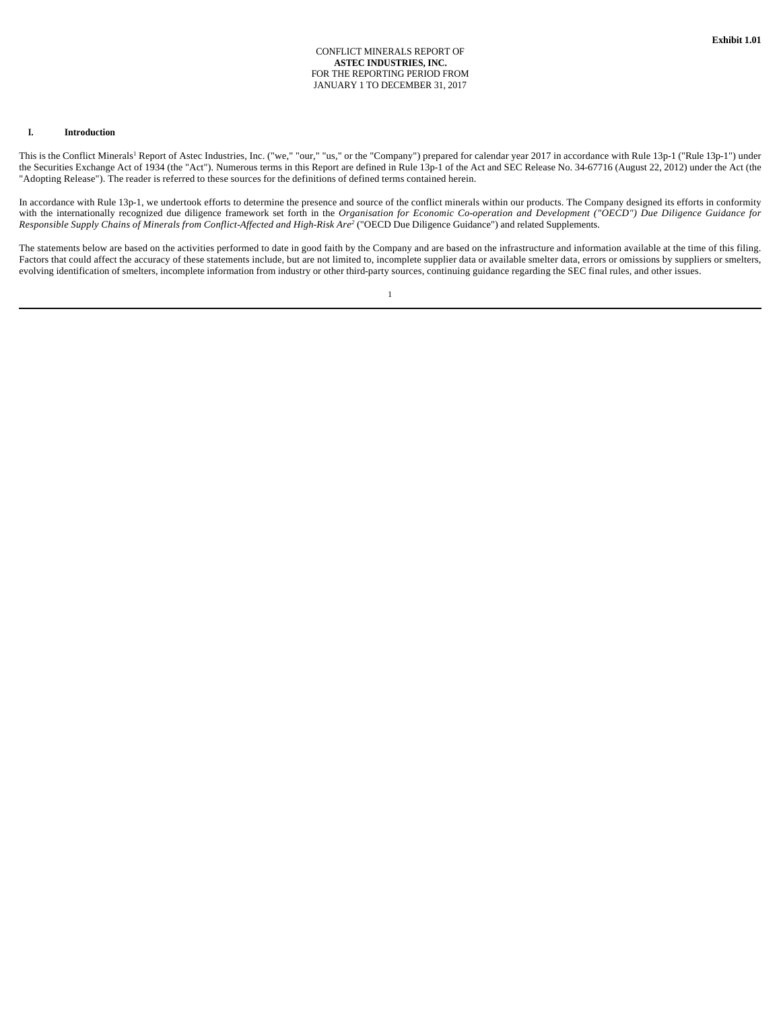#### CONFLICT MINERALS REPORT OF **ASTEC INDUSTRIES, INC.** FOR THE REPORTING PERIOD FROM JANUARY 1 TO DECEMBER 31, 2017

## **I. Introduction**

This is the Conflict Minerals<sup>1</sup> Report of Astec Industries, Inc. ("we," "our," "us," or the "Company") prepared for calendar year 2017 in accordance with Rule 13p-1 ("Rule 13p-1") under the Securities Exchange Act of 1934 (the "Act"). Numerous terms in this Report are defined in Rule 13p-1 of the Act and SEC Release No. 34-67716 (August 22, 2012) under the Act (the "Adopting Release"). The reader is referred to these sources for the definitions of defined terms contained herein.

In accordance with Rule 13p-1, we undertook efforts to determine the presence and source of the conflict minerals within our products. The Company designed its efforts in conformity with the internationally recognized due diligence framework set forth in the *Organisation for Economic Co-operation and Development ("OECD") Due Diligence Guidance for Responsible Supply Chains of Minerals from Conflict-Affected and High-Risk Are<sup>2</sup>* ("OECD Due Diligence Guidance") and related Supplements.

The statements below are based on the activities performed to date in good faith by the Company and are based on the infrastructure and information available at the time of this filing. Factors that could affect the accuracy of these statements include, but are not limited to, incomplete supplier data or available smelter data, errors or omissions by suppliers or smelters, evolving identification of smelters, incomplete information from industry or other third-party sources, continuing guidance regarding the SEC final rules, and other issues.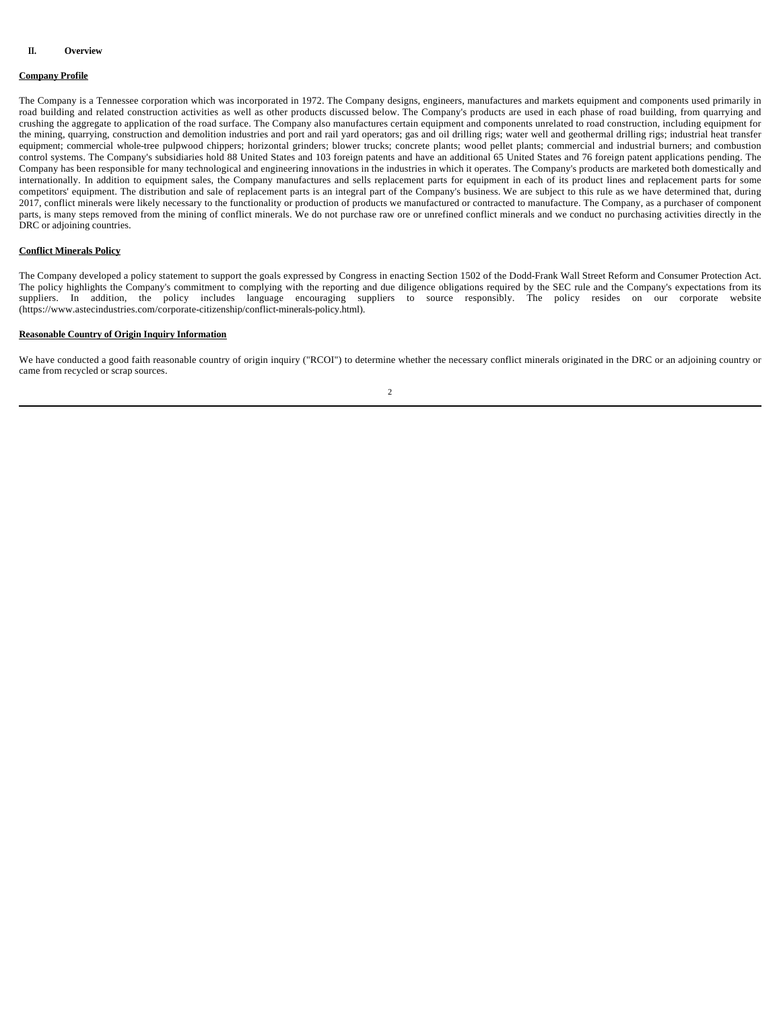## **II. Overview**

#### **Company Profile**

The Company is a Tennessee corporation which was incorporated in 1972. The Company designs, engineers, manufactures and markets equipment and components used primarily in road building and related construction activities as well as other products discussed below. The Company's products are used in each phase of road building, from quarrying and crushing the aggregate to application of the road surface. The Company also manufactures certain equipment and components unrelated to road construction, including equipment for the mining, quarrying, construction and demolition industries and port and rail yard operators; gas and oil drilling rigs; water well and geothermal drilling rigs; industrial heat transfer equipment; commercial whole-tree pulpwood chippers; horizontal grinders; blower trucks; concrete plants; wood pellet plants; commercial and industrial burners; and combustion control systems. The Company's subsidiaries hold 88 United States and 103 foreign patents and have an additional 65 United States and 76 foreign patent applications pending. The Company has been responsible for many technological and engineering innovations in the industries in which it operates. The Company's products are marketed both domestically and internationally. In addition to equipment sales, the Company manufactures and sells replacement parts for equipment in each of its product lines and replacement parts for some competitors' equipment. The distribution and sale of replacement parts is an integral part of the Company's business. We are subject to this rule as we have determined that, during 2017, conflict minerals were likely necessary to the functionality or production of products we manufactured or contracted to manufacture. The Company, as a purchaser of component parts, is many steps removed from the mining of conflict minerals. We do not purchase raw ore or unrefined conflict minerals and we conduct no purchasing activities directly in the DRC or adjoining countries.

### **Conflict Minerals Policy**

The Company developed a policy statement to support the goals expressed by Congress in enacting Section 1502 of the Dodd-Frank Wall Street Reform and Consumer Protection Act. The policy highlights the Company's commitment to complying with the reporting and due diligence obligations required by the SEC rule and the Company's expectations from its suppliers. In addition, the policy includes language encouraging suppliers to source responsibly. The policy resides on our corporate website (https://www.astecindustries.com/corporate-citizenship/conflict-minerals-policy.html).

### **Reasonable Country of Origin Inquiry Information**

We have conducted a good faith reasonable country of origin inquiry ("RCOI") to determine whether the necessary conflict minerals originated in the DRC or an adjoining country or came from recycled or scrap sources.

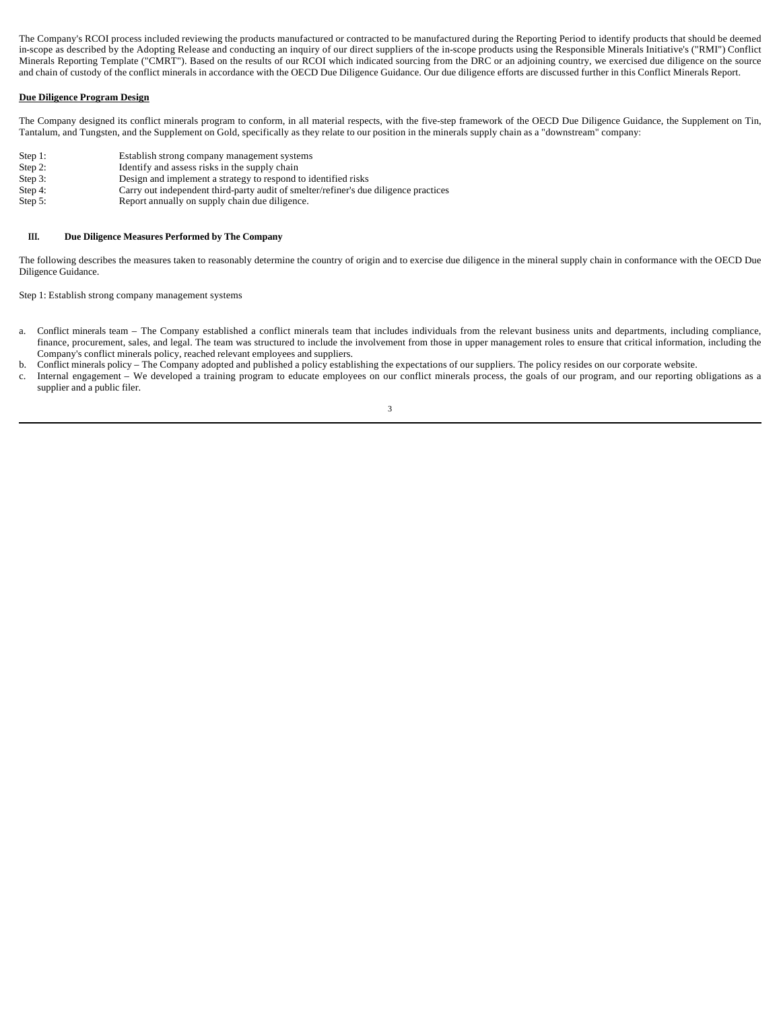The Company's RCOI process included reviewing the products manufactured or contracted to be manufactured during the Reporting Period to identify products that should be deemed in-scope as described by the Adopting Release and conducting an inquiry of our direct suppliers of the in-scope products using the Responsible Minerals Initiative's ("RMI") Conflict Minerals Reporting Template ("CMRT"). Based on the results of our RCOI which indicated sourcing from the DRC or an adjoining country, we exercised due diligence on the source and chain of custody of the conflict minerals in accordance with the OECD Due Diligence Guidance. Our due diligence efforts are discussed further in this Conflict Minerals Report.

### **Due Diligence Program Design**

The Company designed its conflict minerals program to conform, in all material respects, with the five-step framework of the OECD Due Diligence Guidance, the Supplement on Tin, Tantalum, and Tungsten, and the Supplement on Gold, specifically as they relate to our position in the minerals supply chain as a "downstream" company:

- Step 1: Establish strong company management systems
- Step 2: Identify and assess risks in the supply chain<br>Step 3: Design and implement a strategy to respond to Design and implement a strategy to respond to identified risks
- 
- Step 4: Carry out independent third-party audit of smelter/refiner's due diligence practices<br>Step 5: Report annually on supply chain due diligence. Report annually on supply chain due diligence.

# **III. Due Diligence Measures Performed by The Company**

The following describes the measures taken to reasonably determine the country of origin and to exercise due diligence in the mineral supply chain in conformance with the OECD Due Diligence Guidance.

Step 1: Establish strong company management systems

- a. Conflict minerals team The Company established a conflict minerals team that includes individuals from the relevant business units and departments, including compliance, finance, procurement, sales, and legal. The team was structured to include the involvement from those in upper management roles to ensure that critical information, including the Company's conflict minerals policy, reached relevant employees and suppliers.
- b. Conflict minerals policy The Company adopted and published a policy establishing the expectations of our suppliers. The policy resides on our corporate website.
- 3 c. Internal engagement – We developed a training program to educate employees on our conflict minerals process, the goals of our program, and our reporting obligations as a supplier and a public filer.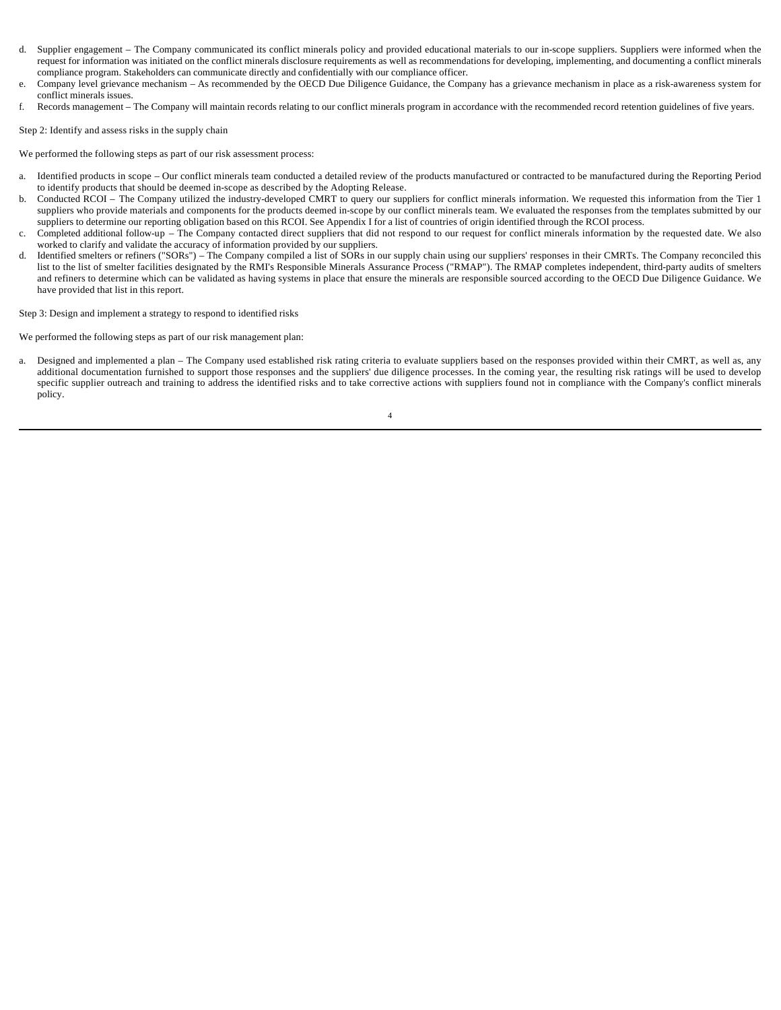- d. Supplier engagement The Company communicated its conflict minerals policy and provided educational materials to our in-scope suppliers. Suppliers were informed when the request for information was initiated on the conflict minerals disclosure requirements as well as recommendations for developing, implementing, and documenting a conflict minerals compliance program. Stakeholders can communicate directly and confidentially with our compliance officer.
- e. Company level grievance mechanism As recommended by the OECD Due Diligence Guidance, the Company has a grievance mechanism in place as a risk-awareness system for conflict minerals issues.
- f. Records management The Company will maintain records relating to our conflict minerals program in accordance with the recommended record retention guidelines of five years.

Step 2: Identify and assess risks in the supply chain

We performed the following steps as part of our risk assessment process:

- a. Identified products in scope Our conflict minerals team conducted a detailed review of the products manufactured or contracted to be manufactured during the Reporting Period to identify products that should be deemed in-scope as described by the Adopting Release.
- b. Conducted RCOI The Company utilized the industry-developed CMRT to query our suppliers for conflict minerals information. We requested this information from the Tier 1 suppliers who provide materials and components for the products deemed in-scope by our conflict minerals team. We evaluated the responses from the templates submitted by our suppliers to determine our reporting obligation based on this RCOI. See Appendix I for a list of countries of origin identified through the RCOI process.
- c. Completed additional follow-up The Company contacted direct suppliers that did not respond to our request for conflict minerals information by the requested date. We also worked to clarify and validate the accuracy of information provided by our suppliers.
- d. Identified smelters or refiners ("SORs") The Company compiled a list of SORs in our supply chain using our suppliers' responses in their CMRTs. The Company reconciled this list to the list of smelter facilities designated by the RMI's Responsible Minerals Assurance Process ("RMAP"). The RMAP completes independent, third-party audits of smelters and refiners to determine which can be validated as having systems in place that ensure the minerals are responsible sourced according to the OECD Due Diligence Guidance. We have provided that list in this report.

Step 3: Design and implement a strategy to respond to identified risks

We performed the following steps as part of our risk management plan:

Designed and implemented a plan – The Company used established risk rating criteria to evaluate suppliers based on the responses provided within their CMRT, as well as, any additional documentation furnished to support those responses and the suppliers' due diligence processes. In the coming year, the resulting risk ratings will be used to develop specific supplier outreach and training to address the identified risks and to take corrective actions with suppliers found not in compliance with the Company's conflict minerals policy.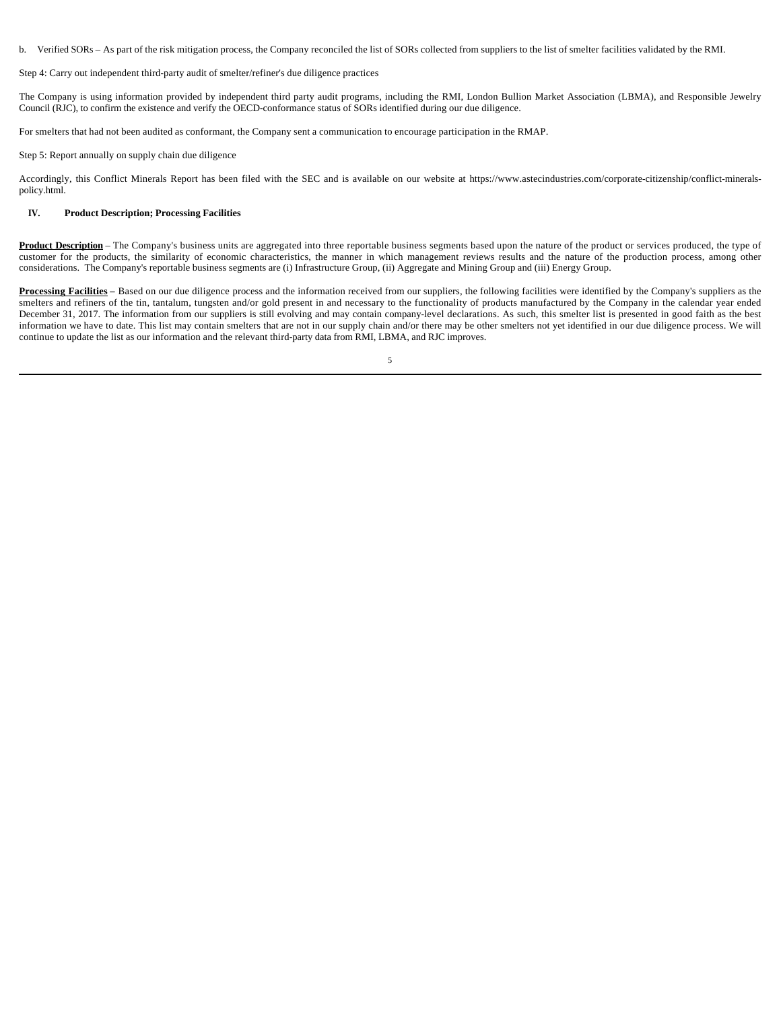b. Verified SORs – As part of the risk mitigation process, the Company reconciled the list of SORs collected from suppliers to the list of smelter facilities validated by the RMI.

Step 4: Carry out independent third-party audit of smelter/refiner's due diligence practices

The Company is using information provided by independent third party audit programs, including the RMI, London Bullion Market Association (LBMA), and Responsible Jewelry Council (RJC), to confirm the existence and verify the OECD-conformance status of SORs identified during our due diligence.

For smelters that had not been audited as conformant, the Company sent a communication to encourage participation in the RMAP.

Step 5: Report annually on supply chain due diligence

Accordingly, this Conflict Minerals Report has been filed with the SEC and is available on our website at https://www.astecindustries.com/corporate-citizenship/conflict-mineralspolicy.html.

#### **IV. Product Description; Processing Facilities**

Product Description – The Company's business units are aggregated into three reportable business segments based upon the nature of the product or services produced, the type of customer for the products, the similarity of economic characteristics, the manner in which management reviews results and the nature of the production process, among other considerations. The Company's reportable business segments are (i) Infrastructure Group, (ii) Aggregate and Mining Group and (iii) Energy Group.

**Processing Facilities** – Based on our due diligence process and the information received from our suppliers, the following facilities were identified by the Company's suppliers as the smelters and refiners of the tin, tantalum, tungsten and/or gold present in and necessary to the functionality of products manufactured by the Company in the calendar year ended December 31, 2017. The information from our suppliers is still evolving and may contain company-level declarations. As such, this smelter list is presented in good faith as the best information we have to date. This list may contain smelters that are not in our supply chain and/or there may be other smelters not yet identified in our due diligence process. We will continue to update the list as our information and the relevant third-party data from RMI, LBMA, and RJC improves.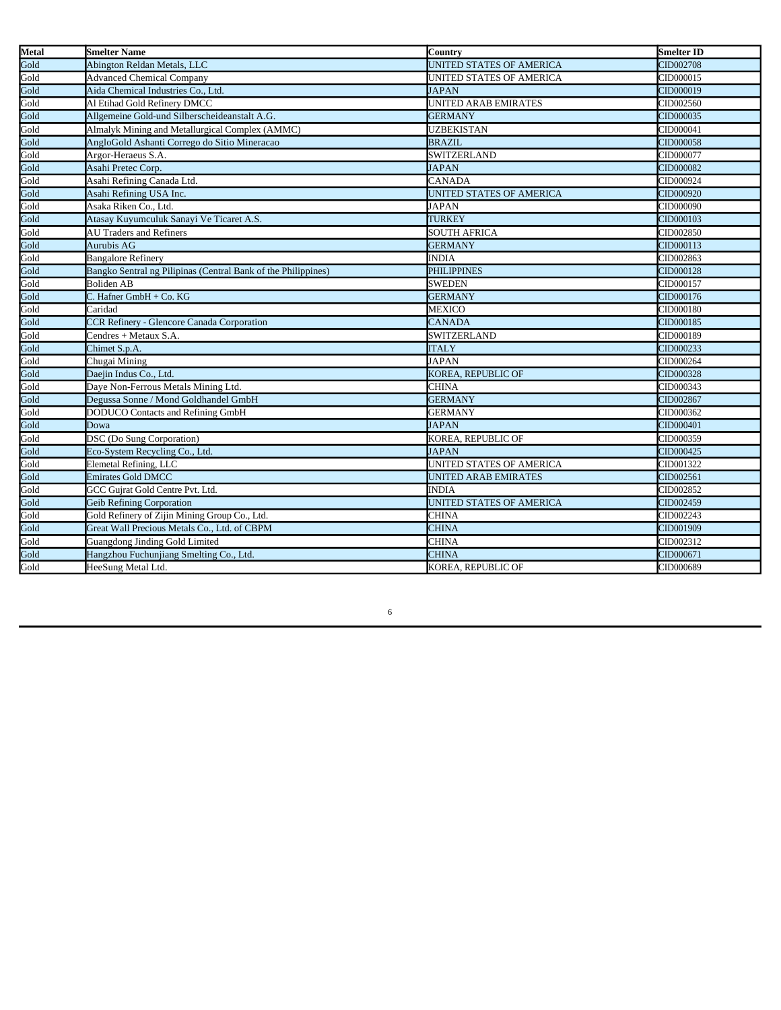| <b>Metal</b> | <b>Smelter Name</b>                                           | Country                         | <b>Smelter ID</b> |
|--------------|---------------------------------------------------------------|---------------------------------|-------------------|
| Gold         | Abington Reldan Metals, LLC                                   | UNITED STATES OF AMERICA        | CID002708         |
| Gold         | <b>Advanced Chemical Company</b>                              | UNITED STATES OF AMERICA        | CID000015         |
| Gold         | Aida Chemical Industries Co., Ltd.                            | <b>JAPAN</b>                    | CID000019         |
| Gold         | Al Etihad Gold Refinery DMCC                                  | UNITED ARAB EMIRATES            | CID002560         |
| Gold         | Allgemeine Gold-und Silberscheideanstalt A.G.                 | <b>GERMANY</b>                  | CID000035         |
| Gold         | Almalyk Mining and Metallurgical Complex (AMMC)               | <b>UZBEKISTAN</b>               | CID000041         |
| Gold         | AngloGold Ashanti Corrego do Sitio Mineracao                  | <b>BRAZIL</b>                   | CID000058         |
| Gold         | Argor-Heraeus S.A.                                            | <b>SWITZERLAND</b>              | CID000077         |
| Gold         | Asahi Pretec Corp.                                            | <b>JAPAN</b>                    | CID000082         |
| Gold         | Asahi Refining Canada Ltd.                                    | <b>CANADA</b>                   | CID000924         |
| Gold         | Asahi Refining USA Inc.                                       | UNITED STATES OF AMERICA        | CID000920         |
| Gold         | Asaka Riken Co., Ltd.                                         | <b>JAPAN</b>                    | CID000090         |
| Gold         | Atasay Kuyumculuk Sanayi Ve Ticaret A.S.                      | TURKEY                          | CID000103         |
| Gold         | <b>AU Traders and Refiners</b>                                | <b>SOUTH AFRICA</b>             | CID002850         |
| Gold         | Aurubis AG                                                    | <b>GERMANY</b>                  | CID000113         |
| Gold         | <b>Bangalore Refinery</b>                                     | <b>INDIA</b>                    | CID002863         |
| Gold         | Bangko Sentral ng Pilipinas (Central Bank of the Philippines) | <b>PHILIPPINES</b>              | CID000128         |
| Gold         | <b>Boliden AB</b>                                             | <b>SWEDEN</b>                   | CID000157         |
| Gold         | C. Hafner GmbH + Co. KG                                       | <b>GERMANY</b>                  | CID000176         |
| Gold         | Caridad                                                       | MEXICO                          | CID000180         |
| Gold         | <b>CCR Refinery - Glencore Canada Corporation</b>             | <b>CANADA</b>                   | CID000185         |
| Gold         | Cendres + Metaux S.A.                                         | <b>SWITZERLAND</b>              | CID000189         |
| Gold         | Chimet S.p.A.                                                 | <b>ITALY</b>                    | CID000233         |
| Gold         | Chugai Mining                                                 | <b>JAPAN</b>                    | CID000264         |
| Gold         | Daejin Indus Co., Ltd.                                        | KOREA, REPUBLIC OF              | CID000328         |
| Gold         | Daye Non-Ferrous Metals Mining Ltd.                           | <b>CHINA</b>                    | CID000343         |
| Gold         | Degussa Sonne / Mond Goldhandel GmbH                          | <b>GERMANY</b>                  | CID002867         |
| Gold         | DODUCO Contacts and Refining GmbH                             | <b>GERMANY</b>                  | CID000362         |
| Gold         | Dowa                                                          | <b>JAPAN</b>                    | CID000401         |
| Gold         | DSC (Do Sung Corporation)                                     | KOREA, REPUBLIC OF              | CID000359         |
| Gold         | Eco-System Recycling Co., Ltd.                                | <b>JAPAN</b>                    | CID000425         |
| Gold         | Elemetal Refining, LLC                                        | UNITED STATES OF AMERICA        | CID001322         |
| Gold         | <b>Emirates Gold DMCC</b>                                     | UNITED ARAB EMIRATES            | CID002561         |
| Gold         | GCC Gujrat Gold Centre Pvt. Ltd.                              | <b>INDIA</b>                    | CID002852         |
| Gold         | <b>Geib Refining Corporation</b>                              | <b>UNITED STATES OF AMERICA</b> | CID002459         |
| Gold         | Gold Refinery of Zijin Mining Group Co., Ltd.                 | <b>CHINA</b>                    | CID002243         |
| Gold         | Great Wall Precious Metals Co., Ltd. of CBPM                  | <b>CHINA</b>                    | CID001909         |
| Gold         | <b>Guangdong Jinding Gold Limited</b>                         | <b>CHINA</b>                    | CID002312         |
| Gold         | Hangzhou Fuchunjiang Smelting Co., Ltd.                       | <b>CHINA</b>                    | CID000671         |
| Gold         | HeeSung Metal Ltd.                                            | KOREA. REPUBLIC OF              | CID000689         |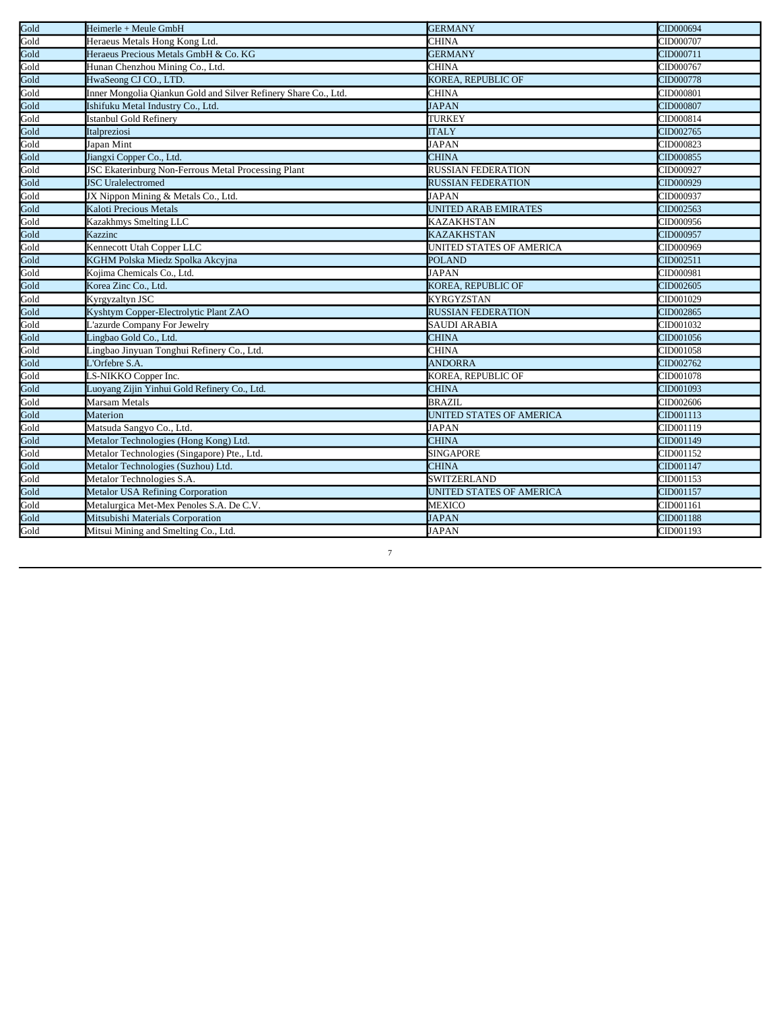| Gold | Heimerle + Meule GmbH                                           | <b>GERMANY</b>                  | CID000694 |
|------|-----------------------------------------------------------------|---------------------------------|-----------|
| Gold | Heraeus Metals Hong Kong Ltd.                                   | <b>CHINA</b>                    | CID000707 |
| Gold | Heraeus Precious Metals GmbH & Co. KG                           | <b>GERMANY</b>                  | CID000711 |
| Gold | Hunan Chenzhou Mining Co., Ltd.                                 | <b>CHINA</b>                    | CID000767 |
| Gold | HwaSeong CJ CO., LTD.                                           | <b>KOREA, REPUBLIC OF</b>       | CID000778 |
| Gold | Inner Mongolia Qiankun Gold and Silver Refinery Share Co., Ltd. | <b>CHINA</b>                    | CID000801 |
| Gold | Ishifuku Metal Industry Co., Ltd.                               | <b>JAPAN</b>                    | CID000807 |
| Gold | Istanbul Gold Refinery                                          | TURKEY                          | CID000814 |
| Gold | Italpreziosi                                                    | <b>ITALY</b>                    | CID002765 |
| Gold | Japan Mint                                                      | <b>JAPAN</b>                    | CID000823 |
| Gold | Jiangxi Copper Co., Ltd.                                        | <b>CHINA</b>                    | CID000855 |
| Gold | <b>JSC Ekaterinburg Non-Ferrous Metal Processing Plant</b>      | <b>RUSSIAN FEDERATION</b>       | CID000927 |
| Gold | <b>JSC</b> Uralelectromed                                       | <b>RUSSIAN FEDERATION</b>       | CID000929 |
| Gold | JX Nippon Mining & Metals Co., Ltd.                             | <b>JAPAN</b>                    | CID000937 |
| Gold | Kaloti Precious Metals                                          | UNITED ARAB EMIRATES            | CID002563 |
| Gold | Kazakhmys Smelting LLC                                          | <b>KAZAKHSTAN</b>               | CID000956 |
| Gold | Kazzinc                                                         | <b>KAZAKHSTAN</b>               | CID000957 |
| Gold | Kennecott Utah Copper LLC                                       | UNITED STATES OF AMERICA        | CID000969 |
| Gold | KGHM Polska Miedz Spolka Akcyjna                                | <b>POLAND</b>                   | CID002511 |
| Gold | Kojima Chemicals Co., Ltd.                                      | <b>JAPAN</b>                    | CID000981 |
| Gold | Korea Zinc Co., Ltd.                                            | <b>KOREA, REPUBLIC OF</b>       | CID002605 |
| Gold | Kyrgyzaltyn JSC                                                 | <b>KYRGYZSTAN</b>               | CID001029 |
| Gold | Kyshtym Copper-Electrolytic Plant ZAO                           | <b>RUSSIAN FEDERATION</b>       | CID002865 |
| Gold | L'azurde Company For Jewelry                                    | <b>SAUDI ARABIA</b>             | CID001032 |
| Gold | Lingbao Gold Co., Ltd.                                          | <b>CHINA</b>                    | CID001056 |
| Gold | Lingbao Jinyuan Tonghui Refinery Co., Ltd.                      | <b>CHINA</b>                    | CID001058 |
| Gold | <b>Corfebre S.A.</b>                                            | <b>ANDORRA</b>                  | CID002762 |
| Gold | S-NIKKO Copper Inc.                                             | KOREA, REPUBLIC OF              | CID001078 |
| Gold | Luoyang Zijin Yinhui Gold Refinery Co., Ltd.                    | <b>CHINA</b>                    | CID001093 |
| Gold | Marsam Metals                                                   | <b>BRAZIL</b>                   | CID002606 |
| Gold | Materion                                                        | UNITED STATES OF AMERICA        | CID001113 |
| Gold | Matsuda Sangyo Co., Ltd.                                        | <b>JAPAN</b>                    | CID001119 |
| Gold | Metalor Technologies (Hong Kong) Ltd.                           | <b>CHINA</b>                    | CID001149 |
| Gold | Metalor Technologies (Singapore) Pte., Ltd.                     | <b>SINGAPORE</b>                | CID001152 |
| Gold | Metalor Technologies (Suzhou) Ltd.                              | <b>CHINA</b>                    | CID001147 |
| Gold | Metalor Technologies S.A.                                       | SWITZERLAND                     | CID001153 |
| Gold | <b>Metalor USA Refining Corporation</b>                         | <b>UNITED STATES OF AMERICA</b> | CID001157 |
| Gold | Metalurgica Met-Mex Penoles S.A. De C.V.                        | <b>MEXICO</b>                   | CID001161 |
| Gold | Mitsubishi Materials Corporation                                | <b>JAPAN</b>                    | CID001188 |
| Gold | Mitsui Mining and Smelting Co., Ltd.                            | <b>JAPAN</b>                    | CID001193 |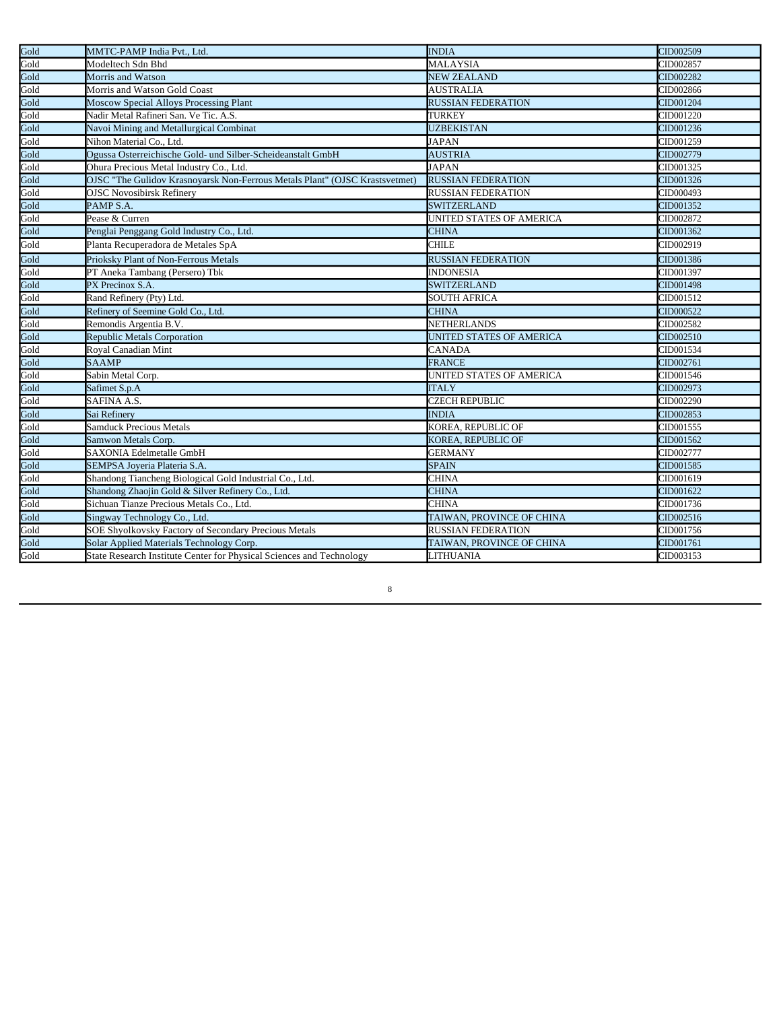| Gold | MMTC-PAMP India Pvt., Ltd.                                                  | <b>INDIA</b>              | CID002509 |
|------|-----------------------------------------------------------------------------|---------------------------|-----------|
| Gold | Modeltech Sdn Bhd                                                           | <b>MALAYSIA</b>           | CID002857 |
| Gold | Morris and Watson                                                           | <b>NEW ZEALAND</b>        | CID002282 |
| Gold | Morris and Watson Gold Coast                                                | <b>AUSTRALIA</b>          | CID002866 |
| Gold | Moscow Special Alloys Processing Plant                                      | <b>RUSSIAN FEDERATION</b> | CID001204 |
| Gold | Nadir Metal Rafineri San. Ve Tic. A.S.                                      | <b>TURKEY</b>             | CID001220 |
| Gold | Navoi Mining and Metallurgical Combinat                                     | <b>UZBEKISTAN</b>         | CID001236 |
| Gold | Nihon Material Co., Ltd.                                                    | <b>JAPAN</b>              | CID001259 |
| Gold | Ogussa Osterreichische Gold- und Silber-Scheideanstalt GmbH                 | <b>AUSTRIA</b>            | CID002779 |
| Gold | Ohura Precious Metal Industry Co., Ltd.                                     | <b>JAPAN</b>              | CID001325 |
| Gold | OJSC "The Gulidov Krasnoyarsk Non-Ferrous Metals Plant" (OJSC Krastsvetmet) | <b>RUSSIAN FEDERATION</b> | CID001326 |
| Gold | <b>OJSC</b> Novosibirsk Refinery                                            | <b>RUSSIAN FEDERATION</b> | CID000493 |
| Gold | PAMP <sub>S.A.</sub>                                                        | <b>SWITZERLAND</b>        | CID001352 |
| Gold | Pease & Curren                                                              | UNITED STATES OF AMERICA  | CID002872 |
| Gold | Penglai Penggang Gold Industry Co., Ltd.                                    | <b>CHINA</b>              | CID001362 |
| Gold | Planta Recuperadora de Metales SpA                                          | <b>CHILE</b>              | CID002919 |
| Gold | Prioksky Plant of Non-Ferrous Metals                                        | <b>RUSSIAN FEDERATION</b> | CID001386 |
| Gold | PT Aneka Tambang (Persero) Tbk                                              | <b>INDONESIA</b>          | CID001397 |
| Gold | PX Precinox S.A.                                                            | <b>SWITZERLAND</b>        | CID001498 |
| Gold | Rand Refinery (Pty) Ltd.                                                    | <b>SOUTH AFRICA</b>       | CID001512 |
| Gold | Refinery of Seemine Gold Co., Ltd.                                          | <b>CHINA</b>              | CID000522 |
| Gold | Remondis Argentia B.V.                                                      | <b>NETHERLANDS</b>        | CID002582 |
| Gold | <b>Republic Metals Corporation</b>                                          | UNITED STATES OF AMERICA  | CID002510 |
| Gold | Royal Canadian Mint                                                         | <b>CANADA</b>             | CID001534 |
| Gold | <b>SAAMP</b>                                                                | <b>FRANCE</b>             | CID002761 |
| Gold | Sabin Metal Corp.                                                           | UNITED STATES OF AMERICA  | CID001546 |
| Gold | Safimet S.p.A                                                               | <b>ITALY</b>              | CID002973 |
| Gold | SAFINA A.S.                                                                 | <b>CZECH REPUBLIC</b>     | CID002290 |
| Gold | Sai Refinery                                                                | <b>INDIA</b>              | CID002853 |
| Gold | <b>Samduck Precious Metals</b>                                              | KOREA, REPUBLIC OF        | CID001555 |
| Gold | Samwon Metals Corp.                                                         | KOREA, REPUBLIC OF        | CID001562 |
| Gold | <b>SAXONIA Edelmetalle GmbH</b>                                             | <b>GERMANY</b>            | CID002777 |
| Gold | SEMPSA Joveria Plateria S.A.                                                | <b>SPAIN</b>              | CID001585 |
| Gold | Shandong Tiancheng Biological Gold Industrial Co., Ltd.                     | <b>CHINA</b>              | CID001619 |
| Gold | Shandong Zhaojin Gold & Silver Refinery Co., Ltd.                           | <b>CHINA</b>              | CID001622 |
| Gold | Sichuan Tianze Precious Metals Co., Ltd.                                    | <b>CHINA</b>              | CID001736 |
| Gold | Singway Technology Co., Ltd.                                                | TAIWAN, PROVINCE OF CHINA | CID002516 |
| Gold | <b>SOE Shyolkovsky Factory of Secondary Precious Metals</b>                 | <b>RUSSIAN FEDERATION</b> | CID001756 |
| Gold | Solar Applied Materials Technology Corp.                                    | TAIWAN, PROVINCE OF CHINA | CID001761 |
| Gold | State Research Institute Center for Physical Sciences and Technology        | <b>LITHUANIA</b>          | CID003153 |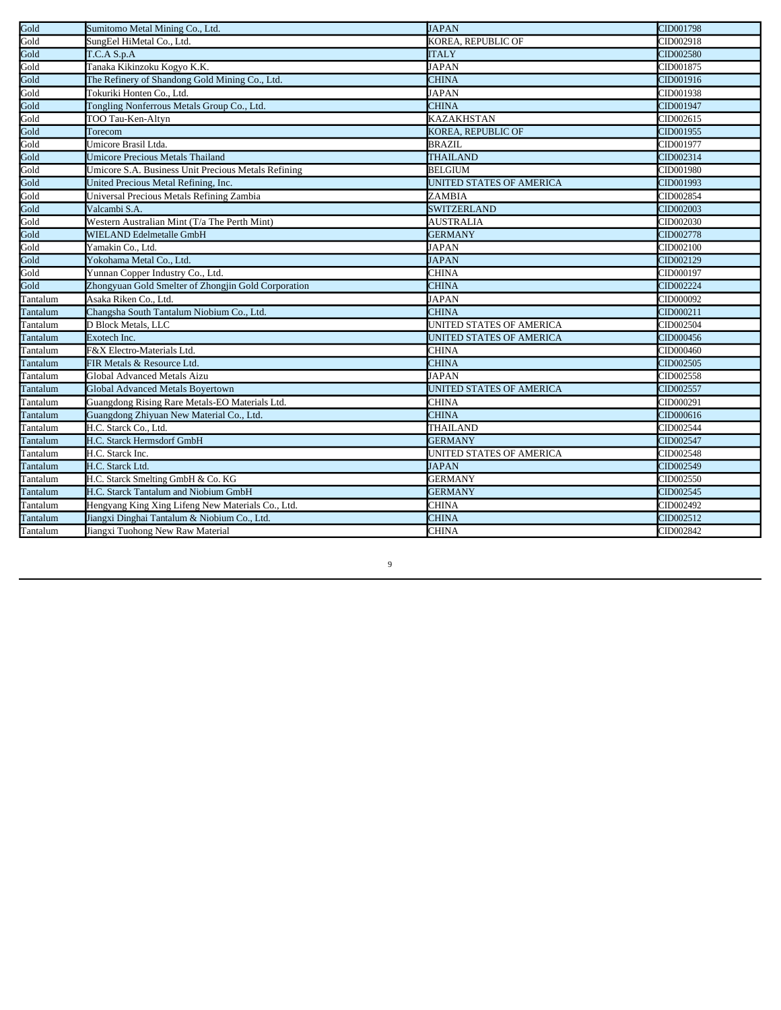| Gold     | Sumitomo Metal Mining Co., Ltd.                     | <b>JAPAN</b>             | CID001798 |
|----------|-----------------------------------------------------|--------------------------|-----------|
| Gold     | SungEel HiMetal Co., Ltd.                           | KOREA, REPUBLIC OF       | CID002918 |
| Gold     | T.C.A S.p.A                                         | <b>ITALY</b>             | CID002580 |
| Gold     | Tanaka Kikinzoku Kogyo K.K.                         | <b>JAPAN</b>             | CID001875 |
| Gold     | The Refinery of Shandong Gold Mining Co., Ltd.      | <b>CHINA</b>             | CID001916 |
| Gold     | Tokuriki Honten Co., Ltd.                           | <b>JAPAN</b>             | CID001938 |
| Gold     | Tongling Nonferrous Metals Group Co., Ltd.          | <b>CHINA</b>             | CID001947 |
| Gold     | TOO Tau-Ken-Altyn                                   | <b>KAZAKHSTAN</b>        | CID002615 |
| Gold     | Torecom                                             | KOREA, REPUBLIC OF       | CID001955 |
| Gold     | Umicore Brasil Ltda.                                | <b>BRAZIL</b>            | CID001977 |
| Gold     | <b>Umicore Precious Metals Thailand</b>             | <b>THAILAND</b>          | CID002314 |
| Gold     | Umicore S.A. Business Unit Precious Metals Refining | <b>BELGIUM</b>           | CID001980 |
| Gold     | United Precious Metal Refining, Inc.                | UNITED STATES OF AMERICA | CID001993 |
| Gold     | Universal Precious Metals Refining Zambia           | ZAMBIA                   | CID002854 |
| Gold     | Valcambi S.A.                                       | <b>SWITZERLAND</b>       | CID002003 |
| Gold     | Western Australian Mint (T/a The Perth Mint)        | <b>AUSTRALIA</b>         | CID002030 |
| Gold     | <b>WIELAND Edelmetalle GmbH</b>                     | <b>GERMANY</b>           | CID002778 |
| Gold     | Yamakin Co., Ltd.                                   | <b>JAPAN</b>             | CID002100 |
| Gold     | Yokohama Metal Co., Ltd.                            | <b>JAPAN</b>             | CID002129 |
| Gold     | Yunnan Copper Industry Co., Ltd.                    | <b>CHINA</b>             | CID000197 |
| Gold     | Zhongyuan Gold Smelter of Zhongjin Gold Corporation | <b>CHINA</b>             | CID002224 |
| Tantalum | Asaka Riken Co., Ltd.                               | <b>JAPAN</b>             | CID000092 |
| Tantalum | Changsha South Tantalum Niobium Co., Ltd.           | <b>CHINA</b>             | CID000211 |
| Tantalum | D Block Metals, LLC                                 | UNITED STATES OF AMERICA | CID002504 |
| Tantalum | Exotech Inc.                                        | UNITED STATES OF AMERICA | CID000456 |
| Tantalum | F&X Electro-Materials Ltd.                          | <b>CHINA</b>             | CID000460 |
| Tantalum | FIR Metals & Resource Ltd.                          | <b>CHINA</b>             | CID002505 |
| Tantalum | Global Advanced Metals Aizu                         | <b>JAPAN</b>             | CID002558 |
| Tantalum | Global Advanced Metals Boyertown                    | UNITED STATES OF AMERICA | CID002557 |
| Tantalum | Guangdong Rising Rare Metals-EO Materials Ltd.      | <b>CHINA</b>             | CID000291 |
| Tantalum | Guangdong Zhiyuan New Material Co., Ltd.            | <b>CHINA</b>             | CID000616 |
| Tantalum | H.C. Starck Co., Ltd.                               | <b>THAILAND</b>          | CID002544 |
| Tantalum | H.C. Starck Hermsdorf GmbH                          | <b>GERMANY</b>           | CID002547 |
| Tantalum | H.C. Starck Inc.                                    | UNITED STATES OF AMERICA | CID002548 |
| Tantalum | H.C. Starck Ltd.                                    | <b>JAPAN</b>             | CID002549 |
| Tantalum | H.C. Starck Smelting GmbH & Co. KG                  | <b>GERMANY</b>           | CID002550 |
| Tantalum | H.C. Starck Tantalum and Niobium GmbH               | <b>GERMANY</b>           | CID002545 |
| Tantalum | Hengyang King Xing Lifeng New Materials Co., Ltd.   | <b>CHINA</b>             | CID002492 |
| Tantalum | Jiangxi Dinghai Tantalum & Niobium Co., Ltd.        | <b>CHINA</b>             | CID002512 |
| Tantalum | Jiangxi Tuohong New Raw Material                    | <b>CHINA</b>             | CID002842 |
|          |                                                     |                          |           |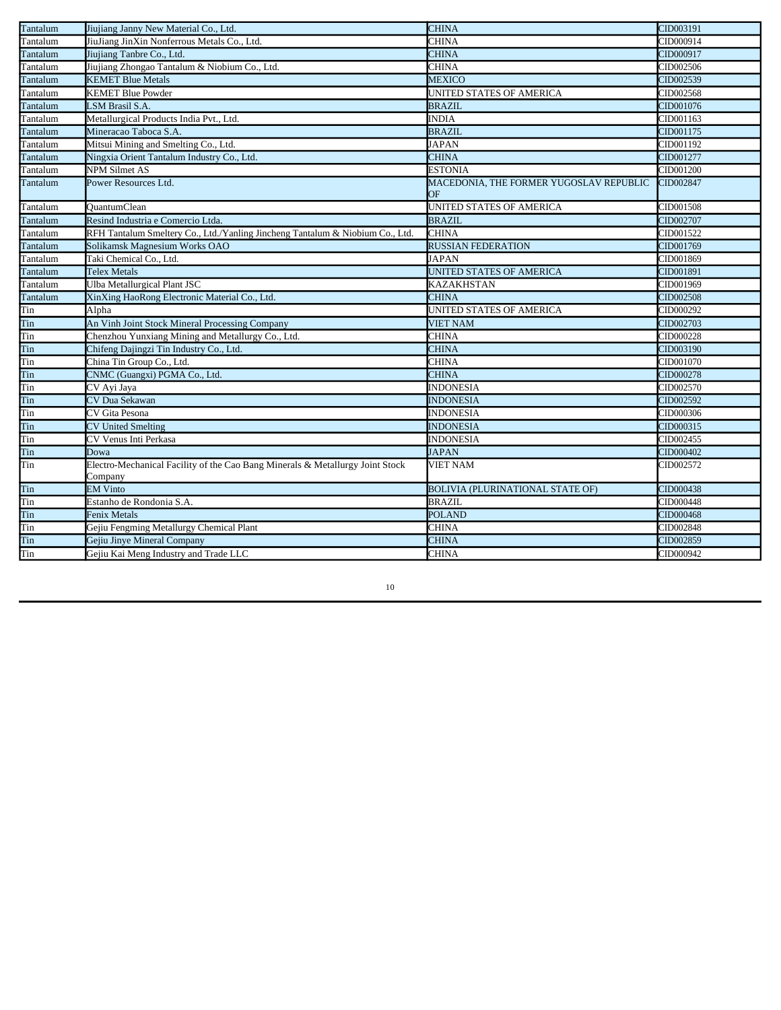| Tantalum<br>CID000914<br>JiuJiang JinXin Nonferrous Metals Co., Ltd.<br>CHINA<br>Tantalum<br>Jiujiang Tanbre Co., Ltd.<br><b>CHINA</b><br>CID000917<br>Jiujiang Zhongao Tantalum & Niobium Co., Ltd.<br>CHINA<br>CID002506<br><b>KEMET Blue Metals</b><br><b>MEXICO</b><br>CID002539<br>Tantalum<br><b>KEMET Blue Powder</b><br>UNITED STATES OF AMERICA<br>CID002568<br><b>LSM Brasil S.A.</b><br><b>BRAZIL</b><br>CID001076<br><b>INDIA</b><br>CID001163<br>Metallurgical Products India Pvt., Ltd. |  |
|-------------------------------------------------------------------------------------------------------------------------------------------------------------------------------------------------------------------------------------------------------------------------------------------------------------------------------------------------------------------------------------------------------------------------------------------------------------------------------------------------------|--|
| Tantalum<br>Tantalum<br>Tantalum<br>Tantalum                                                                                                                                                                                                                                                                                                                                                                                                                                                          |  |
|                                                                                                                                                                                                                                                                                                                                                                                                                                                                                                       |  |
|                                                                                                                                                                                                                                                                                                                                                                                                                                                                                                       |  |
|                                                                                                                                                                                                                                                                                                                                                                                                                                                                                                       |  |
|                                                                                                                                                                                                                                                                                                                                                                                                                                                                                                       |  |
|                                                                                                                                                                                                                                                                                                                                                                                                                                                                                                       |  |
|                                                                                                                                                                                                                                                                                                                                                                                                                                                                                                       |  |
| Tantalum<br>Mineracao Taboca S.A.<br><b>BRAZIL</b><br>CID001175                                                                                                                                                                                                                                                                                                                                                                                                                                       |  |
| Mitsui Mining and Smelting Co., Ltd.<br><b>JAPAN</b><br>CID001192<br>Tantalum                                                                                                                                                                                                                                                                                                                                                                                                                         |  |
| Tantalum<br><b>CHINA</b><br>CID001277<br>Ningxia Orient Tantalum Industry Co., Ltd.                                                                                                                                                                                                                                                                                                                                                                                                                   |  |
| Tantalum<br><b>NPM Silmet AS</b><br><b>ESTONIA</b><br>CID001200                                                                                                                                                                                                                                                                                                                                                                                                                                       |  |
| Tantalum<br>Power Resources Ltd.<br>MACEDONIA, THE FORMER YUGOSLAV REPUBLIC<br>CID002847<br>ОF                                                                                                                                                                                                                                                                                                                                                                                                        |  |
| Tantalum<br><b>QuantumClean</b><br>UNITED STATES OF AMERICA<br>CID001508                                                                                                                                                                                                                                                                                                                                                                                                                              |  |
| Tantalum<br>Resind Industria e Comercio Ltda.<br><b>BRAZIL</b><br>CID002707                                                                                                                                                                                                                                                                                                                                                                                                                           |  |
| Tantalum<br>RFH Tantalum Smeltery Co., Ltd./Yanling Jincheng Tantalum & Niobium Co., Ltd.<br><b>CHINA</b><br>CID001522                                                                                                                                                                                                                                                                                                                                                                                |  |
| Solikamsk Magnesium Works OAO<br><b>RUSSIAN FEDERATION</b><br>CID001769<br>Tantalum                                                                                                                                                                                                                                                                                                                                                                                                                   |  |
| Tantalum<br><b>JAPAN</b><br>Taki Chemical Co., Ltd.<br>CID001869                                                                                                                                                                                                                                                                                                                                                                                                                                      |  |
| Tantalum<br><b>UNITED STATES OF AMERICA</b><br><b>Telex Metals</b><br>CID001891                                                                                                                                                                                                                                                                                                                                                                                                                       |  |
| Tantalum<br><b>Ulba Metallurgical Plant JSC</b><br>CID001969<br><b>KAZAKHSTAN</b>                                                                                                                                                                                                                                                                                                                                                                                                                     |  |
| Tantalum<br>XinXing HaoRong Electronic Material Co., Ltd.<br><b>CHINA</b><br>CID002508                                                                                                                                                                                                                                                                                                                                                                                                                |  |
| Tin<br>Alpha<br>UNITED STATES OF AMERICA<br>CID000292                                                                                                                                                                                                                                                                                                                                                                                                                                                 |  |
| Tin<br>An Vinh Joint Stock Mineral Processing Company<br>CID002703<br><b>VIET NAM</b>                                                                                                                                                                                                                                                                                                                                                                                                                 |  |
| Tin<br>Chenzhou Yunxiang Mining and Metallurgy Co., Ltd.<br><b>CHINA</b><br>CID000228                                                                                                                                                                                                                                                                                                                                                                                                                 |  |
| Tin<br><b>CHINA</b><br>CID003190<br>Chifeng Dajingzi Tin Industry Co., Ltd.                                                                                                                                                                                                                                                                                                                                                                                                                           |  |
| Tin<br><b>CHINA</b><br>China Tin Group Co., Ltd.<br>CID001070                                                                                                                                                                                                                                                                                                                                                                                                                                         |  |
| Tin<br><b>CHINA</b><br>CNMC (Guangxi) PGMA Co., Ltd.<br>CID000278                                                                                                                                                                                                                                                                                                                                                                                                                                     |  |
| Tin<br>CV Ayi Jaya<br>CID002570<br><b>INDONESIA</b>                                                                                                                                                                                                                                                                                                                                                                                                                                                   |  |
| Tin<br>CV Dua Sekawan<br><b>INDONESIA</b><br>CID002592                                                                                                                                                                                                                                                                                                                                                                                                                                                |  |
| Tin<br>CV Gita Pesona<br><b>INDONESIA</b><br>CID000306                                                                                                                                                                                                                                                                                                                                                                                                                                                |  |
| Tin<br><b>CV United Smelting</b><br><b>INDONESIA</b><br>CID000315                                                                                                                                                                                                                                                                                                                                                                                                                                     |  |
| Tin<br>CV Venus Inti Perkasa<br><b>INDONESIA</b><br>CID002455                                                                                                                                                                                                                                                                                                                                                                                                                                         |  |
| Tin<br>CID000402<br><b>JAPAN</b><br>Dowa                                                                                                                                                                                                                                                                                                                                                                                                                                                              |  |
| Tin<br>Electro-Mechanical Facility of the Cao Bang Minerals & Metallurgy Joint Stock<br><b>VIET NAM</b><br>CID002572<br>Company                                                                                                                                                                                                                                                                                                                                                                       |  |
| Tin<br><b>EM Vinto</b><br>CID000438<br><b>BOLIVIA (PLURINATIONAL STATE OF)</b>                                                                                                                                                                                                                                                                                                                                                                                                                        |  |
| Tin<br><b>BRAZIL</b><br>CID000448<br>Estanho de Rondonia S.A                                                                                                                                                                                                                                                                                                                                                                                                                                          |  |
| Tin<br>CID000468<br><b>Fenix Metals</b><br><b>POLAND</b>                                                                                                                                                                                                                                                                                                                                                                                                                                              |  |
| Tin<br>Gejiu Fengming Metallurgy Chemical Plant<br><b>CHINA</b><br>CID002848                                                                                                                                                                                                                                                                                                                                                                                                                          |  |
| Tin<br>Gejiu Jinye Mineral Company<br><b>CHINA</b><br>CID002859                                                                                                                                                                                                                                                                                                                                                                                                                                       |  |
| Tin<br><b>CHINA</b><br>Gejiu Kai Meng Industry and Trade LLC<br>CID000942                                                                                                                                                                                                                                                                                                                                                                                                                             |  |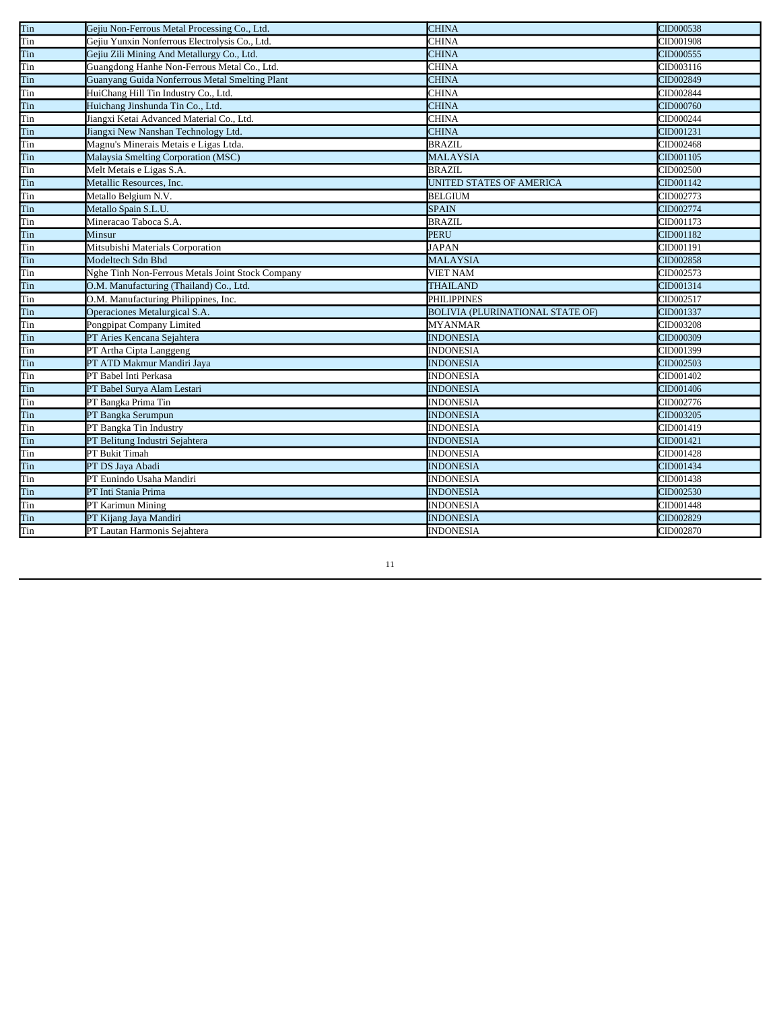| Tin | Gejiu Non-Ferrous Metal Processing Co., Ltd.     | <b>CHINA</b>                            | CID000538 |
|-----|--------------------------------------------------|-----------------------------------------|-----------|
| Tin | Gejiu Yunxin Nonferrous Electrolysis Co., Ltd.   | <b>CHINA</b>                            | CID001908 |
| Tin | Gejiu Zili Mining And Metallurgy Co., Ltd.       | <b>CHINA</b>                            | CID000555 |
| Tin | Guangdong Hanhe Non-Ferrous Metal Co., Ltd.      | <b>CHINA</b>                            | CID003116 |
| Tin | Guanyang Guida Nonferrous Metal Smelting Plant   | <b>CHINA</b>                            | CID002849 |
| Tin | HuiChang Hill Tin Industry Co., Ltd.             | <b>CHINA</b>                            | CID002844 |
| Tin | Huichang Jinshunda Tin Co., Ltd.                 | <b>CHINA</b>                            | CID000760 |
| Tin | Jiangxi Ketai Advanced Material Co., Ltd.        | <b>CHINA</b>                            | CID000244 |
| Tin | Jiangxi New Nanshan Technology Ltd.              | <b>CHINA</b>                            | CID001231 |
| Tin | Magnu's Minerais Metais e Ligas Ltda.            | <b>BRAZIL</b>                           | CID002468 |
| Tin | Malaysia Smelting Corporation (MSC)              | <b>MALAYSIA</b>                         | CID001105 |
| Tin | Melt Metais e Ligas S.A.                         | <b>BRAZIL</b>                           | CID002500 |
| Tin | Metallic Resources, Inc.                         | UNITED STATES OF AMERICA                | CID001142 |
| Tin | Metallo Belgium N.V.                             | <b>BELGIUM</b>                          | CID002773 |
| Tin | Metallo Spain S.L.U.                             | <b>SPAIN</b>                            | CID002774 |
| Tin | Mineracao Taboca S.A.                            | <b>BRAZIL</b>                           | CID001173 |
| Tin | Minsur                                           | <b>PERU</b>                             | CID001182 |
| Tin | Mitsubishi Materials Corporation                 | <b>JAPAN</b>                            | CID001191 |
| Tin | Modeltech Sdn Bhd                                | <b>MALAYSIA</b>                         | CID002858 |
| Tin | Nghe Tinh Non-Ferrous Metals Joint Stock Company | <b>VIET NAM</b>                         | CID002573 |
| Tin | O.M. Manufacturing (Thailand) Co., Ltd.          | <b>THAILAND</b>                         | CID001314 |
| Tin | O.M. Manufacturing Philippines, Inc.             | <b>PHILIPPINES</b>                      | CID002517 |
| Tin | Operaciones Metalurgical S.A.                    | <b>BOLIVIA (PLURINATIONAL STATE OF)</b> | CID001337 |
| Tin | Pongpipat Company Limited                        | <b>MYANMAR</b>                          | CID003208 |
| Tin | PT Aries Kencana Seiahtera                       | <b>INDONESIA</b>                        | CID000309 |
| Tin | PT Artha Cipta Langgeng                          | <b>INDONESIA</b>                        | CID001399 |
| Tin | PT ATD Makmur Mandiri Jaya                       | <b>INDONESIA</b>                        | CID002503 |
| Tin | PT Babel Inti Perkasa                            | <b>INDONESIA</b>                        | CID001402 |
| Tin | PT Babel Surya Alam Lestari                      | <b>INDONESIA</b>                        | CID001406 |
| Tin | PT Bangka Prima Tin                              | <b>INDONESIA</b>                        | CID002776 |
| Tin | PT Bangka Serumpun                               | <b>INDONESIA</b>                        | CID003205 |
| Tin | PT Bangka Tin Industry                           | <b>INDONESIA</b>                        | CID001419 |
| Tin | PT Belitung Industri Sejahtera                   | <b>INDONESIA</b>                        | CID001421 |
| Tin | PT Bukit Timah                                   | <b>INDONESIA</b>                        | CID001428 |
| Tin | PT DS Jaya Abadi                                 | <b>INDONESIA</b>                        | CID001434 |
| Tin | PT Eunindo Usaha Mandiri                         | <b>INDONESIA</b>                        | CID001438 |
| Tin | PT Inti Stania Prima                             | <b>INDONESIA</b>                        | CID002530 |
| Tin | PT Karimun Mining                                | <b>INDONESIA</b>                        | CID001448 |
| Tin | PT Kijang Jaya Mandiri                           | <b>INDONESIA</b>                        | CID002829 |
| Tin | PT Lautan Harmonis Sejahtera                     | <b>INDONESIA</b>                        | CID002870 |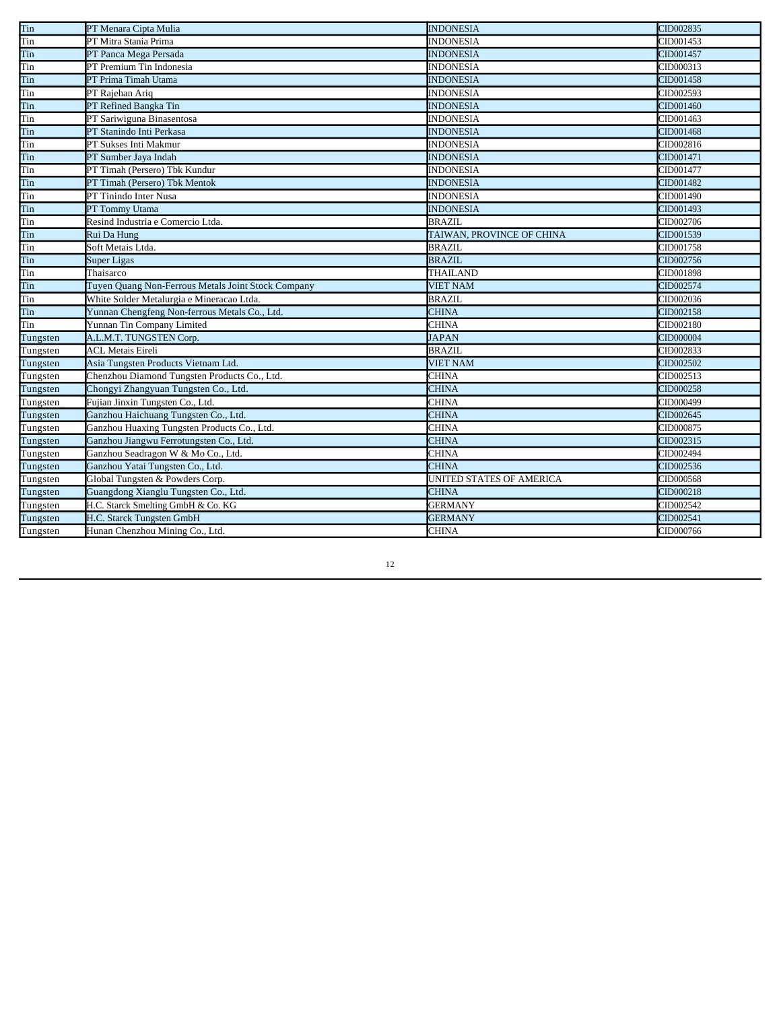| Tin      | PT Menara Cipta Mulia                              | <b>INDONESIA</b>          | CID002835 |
|----------|----------------------------------------------------|---------------------------|-----------|
| Tin      | PT Mitra Stania Prima                              | <b>INDONESIA</b>          | CID001453 |
| Tin      | PT Panca Mega Persada                              | <b>INDONESIA</b>          | CID001457 |
| Tin      | PT Premium Tin Indonesia                           | <b>INDONESIA</b>          | CID000313 |
| Tin      | PT Prima Timah Utama                               | <b>INDONESIA</b>          | CID001458 |
| Tin      | PT Rajehan Ariq                                    | <b>INDONESIA</b>          | CID002593 |
| Tin      | PT Refined Bangka Tin                              | <b>INDONESIA</b>          | CID001460 |
| Tin      | PT Sariwiguna Binasentosa                          | <b>INDONESIA</b>          | CID001463 |
| Tin      | PT Stanindo Inti Perkasa                           | <b>INDONESIA</b>          | CID001468 |
| Tin      | PT Sukses Inti Makmur                              | <b>INDONESIA</b>          | CID002816 |
| Tin      | PT Sumber Jaya Indah                               | <b>INDONESIA</b>          | CID001471 |
| Tin      | PT Timah (Persero) Tbk Kundur                      | <b>INDONESIA</b>          | CID001477 |
| Tin      | PT Timah (Persero) Tbk Mentok                      | <b>INDONESIA</b>          | CID001482 |
| Tin      | PT Tinindo Inter Nusa                              | <b>INDONESIA</b>          | CID001490 |
| Tin      | PT Tommy Utama                                     | <b>INDONESIA</b>          | CID001493 |
| Tin      | Resind Industria e Comercio Ltda.                  | <b>BRAZIL</b>             | CID002706 |
| Tin      | Rui Da Hung                                        | TAIWAN, PROVINCE OF CHINA | CID001539 |
| Tin      | Soft Metais Ltda.                                  | <b>BRAZIL</b>             | CID001758 |
| Tin      | <b>Super Ligas</b>                                 | <b>BRAZIL</b>             | CID002756 |
| Tin      | Thaisarco                                          | THAILAND                  | CID001898 |
| Tin      | Tuyen Quang Non-Ferrous Metals Joint Stock Company | <b>VIET NAM</b>           | CID002574 |
| Tin      | White Solder Metalurgia e Mineracao Ltda.          | <b>BRAZIL</b>             | CID002036 |
| Tin      | Yunnan Chengfeng Non-ferrous Metals Co., Ltd.      | <b>CHINA</b>              | CID002158 |
| Tin      | Yunnan Tin Company Limited                         | <b>CHINA</b>              | CID002180 |
| Tungsten | A.L.M.T. TUNGSTEN Corp.                            | <b>JAPAN</b>              | CID000004 |
| Tungsten | <b>ACL Metais Eireli</b>                           | <b>BRAZIL</b>             | CID002833 |
| Tungsten | Asia Tungsten Products Vietnam Ltd.                | <b>VIET NAM</b>           | CID002502 |
| Tungsten | Chenzhou Diamond Tungsten Products Co., Ltd.       | <b>CHINA</b>              | CID002513 |
| Tungsten | Chongyi Zhangyuan Tungsten Co., Ltd.               | <b>CHINA</b>              | CID000258 |
| Tungsten | Fujian Jinxin Tungsten Co., Ltd.                   | <b>CHINA</b>              | CID000499 |
| Tungsten | Ganzhou Haichuang Tungsten Co., Ltd.               | <b>CHINA</b>              | CID002645 |
| Tungsten | Ganzhou Huaxing Tungsten Products Co., Ltd.        | <b>CHINA</b>              | CID000875 |
| Tungsten | Ganzhou Jiangwu Ferrotungsten Co., Ltd.            | <b>CHINA</b>              | CID002315 |
| Tungsten | Ganzhou Seadragon W & Mo Co., Ltd.                 | <b>CHINA</b>              | CID002494 |
| Tungsten | Ganzhou Yatai Tungsten Co., Ltd.                   | <b>CHINA</b>              | CID002536 |
| Tungsten | Global Tungsten & Powders Corp.                    | UNITED STATES OF AMERICA  | CID000568 |
| Tungsten | Guangdong Xianglu Tungsten Co., Ltd.               | <b>CHINA</b>              | CID000218 |
| Tungsten | H.C. Starck Smelting GmbH & Co. KG                 | <b>GERMANY</b>            | CID002542 |
| Tungsten | H.C. Starck Tungsten GmbH                          | <b>GERMANY</b>            | CID002541 |
| Tungsten | Hunan Chenzhou Mining Co., Ltd.                    | CHINA                     | CID000766 |
|          |                                                    |                           |           |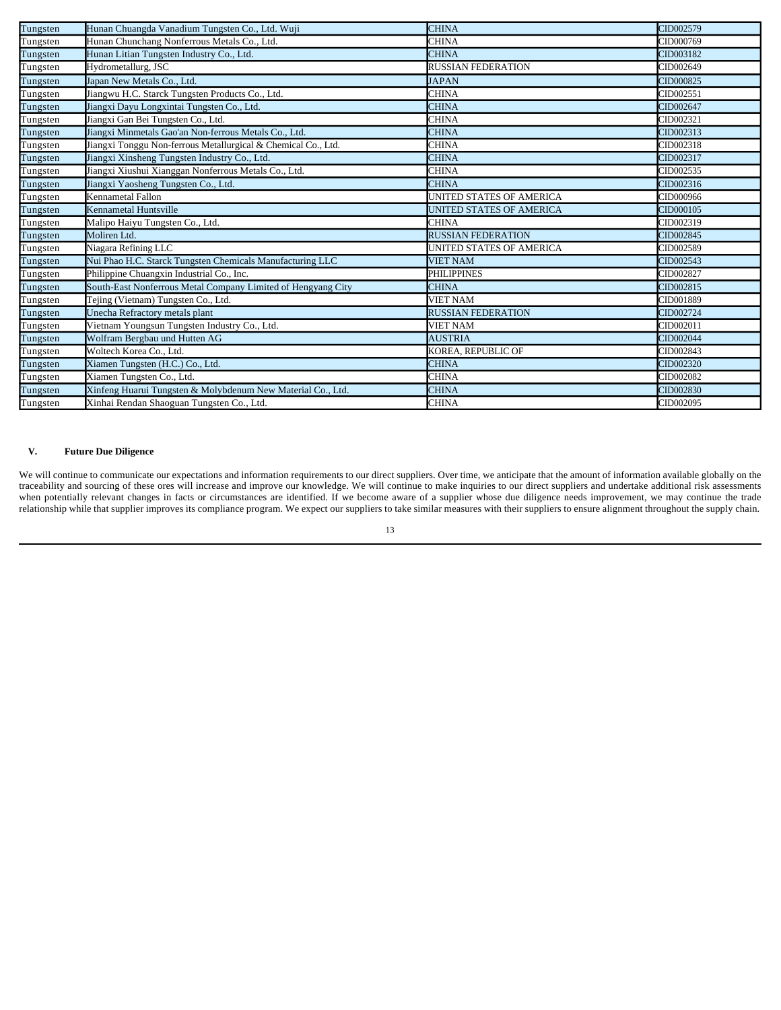| Tungsten | Hunan Chuangda Vanadium Tungsten Co., Ltd. Wuji               | <b>CHINA</b>              | CID002579 |
|----------|---------------------------------------------------------------|---------------------------|-----------|
| Tungsten | Hunan Chunchang Nonferrous Metals Co., Ltd.                   | <b>CHINA</b>              | CID000769 |
| Tungsten | Hunan Litian Tungsten Industry Co., Ltd.                      | <b>CHINA</b>              | CID003182 |
| Tungsten | Hydrometallurg, JSC                                           | <b>RUSSIAN FEDERATION</b> | CID002649 |
| Tungsten | Japan New Metals Co., Ltd.                                    | <b>JAPAN</b>              | CID000825 |
| Tungsten | Jiangwu H.C. Starck Tungsten Products Co., Ltd.               | <b>CHINA</b>              | CID002551 |
| Tungsten | Jiangxi Dayu Longxintai Tungsten Co., Ltd.                    | <b>CHINA</b>              | CID002647 |
| Tungsten | Jiangxi Gan Bei Tungsten Co., Ltd.                            | CHINA                     | CID002321 |
| Tungsten | Jiangxi Minmetals Gao'an Non-ferrous Metals Co., Ltd.         | <b>CHINA</b>              | CID002313 |
| Tungsten | Jiangxi Tonggu Non-ferrous Metallurgical & Chemical Co., Ltd. | CHINA                     | CID002318 |
| Tungsten | Jiangxi Xinsheng Tungsten Industry Co., Ltd.                  | <b>CHINA</b>              | CID002317 |
| Tungsten | Jiangxi Xiushui Xianggan Nonferrous Metals Co., Ltd.          | CHINA                     | CID002535 |
| Tungsten | Jiangxi Yaosheng Tungsten Co., Ltd.                           | <b>CHINA</b>              | CID002316 |
| Tungsten | Kennametal Fallon                                             | UNITED STATES OF AMERICA  | CID000966 |
| Tungsten | Kennametal Huntsville                                         | UNITED STATES OF AMERICA  | CID000105 |
| Tungsten | Malipo Haiyu Tungsten Co., Ltd.                               | <b>CHINA</b>              | CID002319 |
| Tungsten | Moliren Ltd.                                                  | <b>RUSSIAN FEDERATION</b> | CID002845 |
| Tungsten | Niagara Refining LLC                                          | UNITED STATES OF AMERICA  | CID002589 |
| Tungsten | Nui Phao H.C. Starck Tungsten Chemicals Manufacturing LLC     | <b>VIET NAM</b>           | CID002543 |
| Tungsten | Philippine Chuangxin Industrial Co., Inc.                     | <b>PHILIPPINES</b>        | CID002827 |
| Tungsten | South-East Nonferrous Metal Company Limited of Hengyang City  | <b>CHINA</b>              | CID002815 |
| Tungsten | Tejing (Vietnam) Tungsten Co., Ltd.                           | <b>VIET NAM</b>           | CID001889 |
| Tungsten | Unecha Refractory metals plant                                | <b>RUSSIAN FEDERATION</b> | CID002724 |
| Tungsten | Vietnam Youngsun Tungsten Industry Co., Ltd.                  | <b>VIET NAM</b>           | CID002011 |
| Tungsten | Wolfram Bergbau und Hutten AG                                 | <b>AUSTRIA</b>            | CID002044 |
| Tungsten | Woltech Korea Co., Ltd.                                       | KOREA, REPUBLIC OF        | CID002843 |
| Tungsten | Xiamen Tungsten (H.C.) Co., Ltd.                              | <b>CHINA</b>              | CID002320 |
| Tungsten | Xiamen Tungsten Co., Ltd.                                     | CHINA                     | CID002082 |
| Tungsten | Xinfeng Huarui Tungsten & Molybdenum New Material Co., Ltd.   | <b>CHINA</b>              | CID002830 |
| Tungsten | Xinhai Rendan Shaoguan Tungsten Co., Ltd.                     | <b>CHINA</b>              | CID002095 |

## **V. Future Due Diligence**

We will continue to communicate our expectations and information requirements to our direct suppliers. Over time, we anticipate that the amount of information available globally on the traceability and sourcing of these ores will increase and improve our knowledge. We will continue to make inquiries to our direct suppliers and undertake additional risk assessments when potentially relevant changes in facts or circumstances are identified. If we become aware of a supplier whose due diligence needs improvement, we may continue the trade relationship while that supplier improves its compliance program. We expect our suppliers to take similar measures with their suppliers to ensure alignment throughout the supply chain.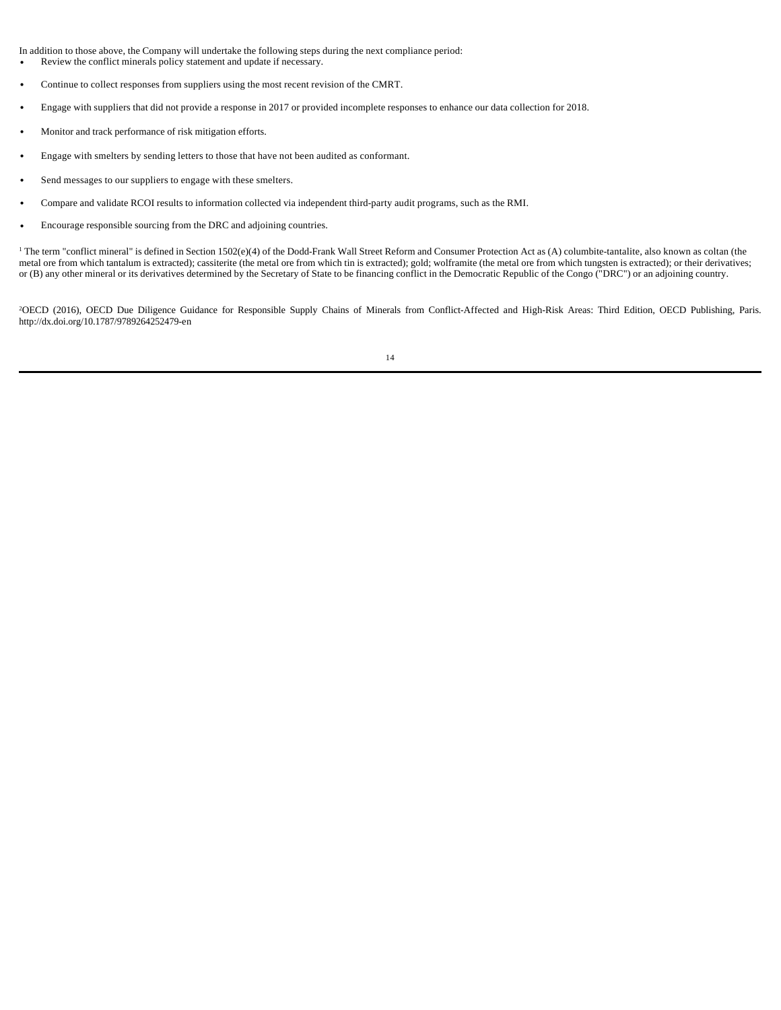In addition to those above, the Company will undertake the following steps during the next compliance period: Review the conflict minerals policy statement and update if necessary.

Continue to collect responses from suppliers using the most recent revision of the CMRT.

Engage with suppliers that did not provide a response in 2017 or provided incomplete responses to enhance our data collection for 2018.

Monitor and track performance of risk mitigation efforts.

Engage with smelters by sending letters to those that have not been audited as conformant.

Send messages to our suppliers to engage with these smelters.

Compare and validate RCOI results to information collected via independent third-party audit programs, such as the RMI.

Encourage responsible sourcing from the DRC and adjoining countries.

<sup>1</sup> The term "conflict mineral" is defined in Section 1502(e)(4) of the Dodd-Frank Wall Street Reform and Consumer Protection Act as (A) columbite-tantalite, also known as coltan (the metal ore from which tantalum is extracted); cassiterite (the metal ore from which tin is extracted); gold; wolframite (the metal ore from which tungsten is extracted); or their derivatives; or (B) any other mineral or its derivatives determined by the Secretary of State to be financing conflict in the Democratic Republic of the Congo ("DRC") or an adjoining country.

<sup>2</sup>OECD (2016), OECD Due Diligence Guidance for Responsible Supply Chains of Minerals from Conflict-Affected and High-Risk Areas: Third Edition, OECD Publishing, Paris. http://dx.doi.org/10.1787/9789264252479-en